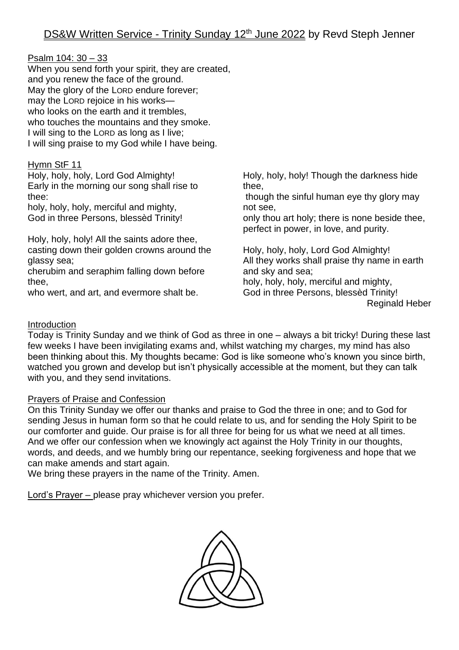| <u>Psalm 104: 30 - 33</u><br>When you send forth your spirit, they are created,<br>and you renew the face of the ground.<br>May the glory of the LORD endure forever;<br>may the LORD rejoice in his works-<br>who looks on the earth and it trembles,<br>who touches the mountains and they smoke.<br>I will sing to the LORD as long as I live;<br>I will sing praise to my God while I have being. |                                                |
|-------------------------------------------------------------------------------------------------------------------------------------------------------------------------------------------------------------------------------------------------------------------------------------------------------------------------------------------------------------------------------------------------------|------------------------------------------------|
| Hymn StF 11                                                                                                                                                                                                                                                                                                                                                                                           | Holy, holy, holy! Though the darkness hide     |
| Holy, holy, holy, Lord God Almighty!                                                                                                                                                                                                                                                                                                                                                                  | thee,                                          |
| Early in the morning our song shall rise to                                                                                                                                                                                                                                                                                                                                                           | though the sinful human eye thy glory may      |
| thee:                                                                                                                                                                                                                                                                                                                                                                                                 | not see,                                       |
| holy, holy, holy, merciful and mighty,                                                                                                                                                                                                                                                                                                                                                                | only thou art holy; there is none beside thee, |
| God in three Persons, blessed Trinity!                                                                                                                                                                                                                                                                                                                                                                | perfect in power, in love, and purity.         |
| Holy, holy, holy! All the saints adore thee,                                                                                                                                                                                                                                                                                                                                                          | Holy, holy, holy, Lord God Almighty!           |
| casting down their golden crowns around the                                                                                                                                                                                                                                                                                                                                                           | All they works shall praise thy name in earth  |
| glassy sea;                                                                                                                                                                                                                                                                                                                                                                                           | and sky and sea;                               |
| cherubim and seraphim falling down before                                                                                                                                                                                                                                                                                                                                                             | holy, holy, holy, merciful and mighty,         |
| thee,                                                                                                                                                                                                                                                                                                                                                                                                 | God in three Persons, blessed Trinity!         |
| who wert, and art, and evermore shalt be.                                                                                                                                                                                                                                                                                                                                                             | <b>Reginald Heber</b>                          |

# Introduction

Today is Trinity Sunday and we think of God as three in one – always a bit tricky! During these last few weeks I have been invigilating exams and, whilst watching my charges, my mind has also been thinking about this. My thoughts became: God is like someone who's known you since birth, watched you grown and develop but isn't physically accessible at the moment, but they can talk with you, and they send invitations.

#### Prayers of Praise and Confession

On this Trinity Sunday we offer our thanks and praise to God the three in one; and to God for sending Jesus in human form so that he could relate to us, and for sending the Holy Spirit to be our comforter and quide. Our praise is for all three for being for us what we need at all times. And we offer our confession when we knowingly act against the Holy Trinity in our thoughts, words, and deeds, and we humbly bring our repentance, seeking forgiveness and hope that we can make amends and start again.

We bring these prayers in the name of the Trinity. Amen.

Lord's Prayer – please pray whichever version you prefer.

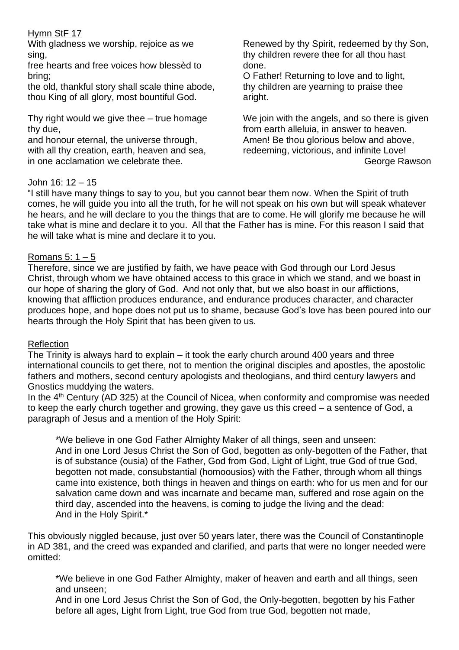# Hymn StF 17

With gladness we worship, rejoice as we sing,

free hearts and free voices how blessèd to bring;

the old, thankful story shall scale thine abode, thou King of all glory, most bountiful God.

Thy right would we give thee – true homage thy due,

and honour eternal, the universe through, with all thy creation, earth, heaven and sea, in one acclamation we celebrate thee.

Renewed by thy Spirit, redeemed by thy Son, thy children revere thee for all thou hast done.

O Father! Returning to love and to light, thy children are yearning to praise thee aright.

We join with the angels, and so there is given from earth alleluia, in answer to heaven. Amen! Be thou glorious below and above, redeeming, victorious, and infinite Love! George Rawson

# John 16: 12 – 15

"I still have many things to say to you, but you cannot bear them now. When the Spirit of truth comes, he will guide you into all the truth, for he will not speak on his own but will speak whatever he hears, and he will declare to you the things that are to come. He will glorify me because he will take what is mine and declare it to you. All that the Father has is mine. For this reason I said that he will take what is mine and declare it to you.

# Romans  $5: 1-5$

Therefore, since we are justified by faith, we have peace with God through our Lord Jesus Christ, through whom we have obtained access to this grace in which we stand, and we boast in our hope of sharing the glory of God. And not only that, but we also boast in our afflictions, knowing that affliction produces endurance, and endurance produces character, and character produces hope, and hope does not put us to shame, because God's love has been poured into our hearts through the Holy Spirit that has been given to us.

#### Reflection

The Trinity is always hard to explain – it took the early church around 400 years and three international councils to get there, not to mention the original disciples and apostles, the apostolic fathers and mothers, second century apologists and theologians, and third century lawyers and Gnostics muddying the waters.

In the 4<sup>th</sup> Century (AD 325) at the Council of Nicea, when conformity and compromise was needed to keep the early church together and growing, they gave us this creed – a sentence of God, a paragraph of Jesus and a mention of the Holy Spirit:

\*We believe in one God Father Almighty Maker of all things, seen and unseen: And in one Lord Jesus Christ the Son of God, begotten as only-begotten of the Father, that is of substance (ousia) of the Father, God from God, Light of Light, true God of true God, begotten not made, consubstantial (homoousios) with the Father, through whom all things came into existence, both things in heaven and things on earth: who for us men and for our salvation came down and was incarnate and became man, suffered and rose again on the third day, ascended into the heavens, is coming to judge the living and the dead: And in the Holy Spirit.\*

This obviously niggled because, just over 50 years later, there was the Council of Constantinople in AD 381, and the creed was expanded and clarified, and parts that were no longer needed were omitted:

\*We believe in one God Father Almighty, maker of heaven and earth and all things, seen and unseen;

And in one Lord Jesus Christ the Son of God, the Only-begotten, begotten by his Father before all ages, Light from Light, true God from true God, begotten not made,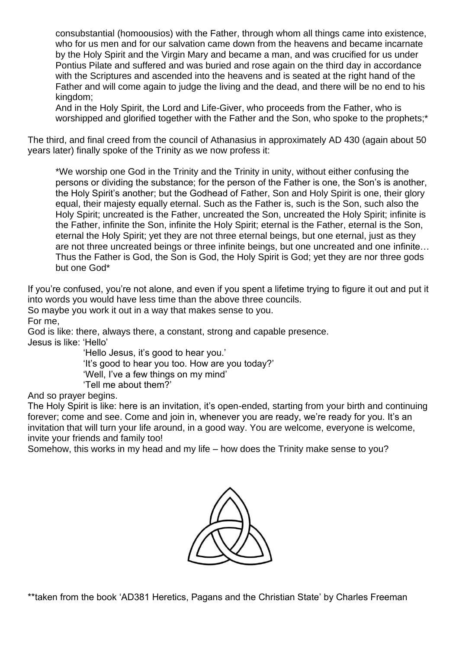consubstantial (homoousios) with the Father, through whom all things came into existence, who for us men and for our salvation came down from the heavens and became incarnate by the Holy Spirit and the Virgin Mary and became a man, and was crucified for us under Pontius Pilate and suffered and was buried and rose again on the third day in accordance with the Scriptures and ascended into the heavens and is seated at the right hand of the Father and will come again to judge the living and the dead, and there will be no end to his kingdom;

And in the Holy Spirit, the Lord and Life-Giver, who proceeds from the Father, who is worshipped and glorified together with the Father and the Son, who spoke to the prophets;<sup>\*</sup>

The third, and final creed from the council of Athanasius in approximately AD 430 (again about 50 years later) finally spoke of the Trinity as we now profess it:

\*We worship one God in the Trinity and the Trinity in unity, without either confusing the persons or dividing the substance; for the person of the Father is one, the Son's is another, the Holy Spirit's another; but the Godhead of Father, Son and Holy Spirit is one, their glory equal, their majesty equally eternal. Such as the Father is, such is the Son, such also the Holy Spirit; uncreated is the Father, uncreated the Son, uncreated the Holy Spirit; infinite is the Father, infinite the Son, infinite the Holy Spirit; eternal is the Father, eternal is the Son, eternal the Holy Spirit; yet they are not three eternal beings, but one eternal, just as they are not three uncreated beings or three infinite beings, but one uncreated and one infinite… Thus the Father is God, the Son is God, the Holy Spirit is God; yet they are nor three gods but one God\*

If you're confused, you're not alone, and even if you spent a lifetime trying to figure it out and put it into words you would have less time than the above three councils.

So maybe you work it out in a way that makes sense to you. For me,

God is like: there, always there, a constant, strong and capable presence. Jesus is like: 'Hello'

'Hello Jesus, it's good to hear you.'

'It's good to hear you too. How are you today?'

'Well, I've a few things on my mind'

'Tell me about them?'

And so prayer begins.

The Holy Spirit is like: here is an invitation, it's open-ended, starting from your birth and continuing forever; come and see. Come and join in, whenever you are ready, we're ready for you. It's an invitation that will turn your life around, in a good way. You are welcome, everyone is welcome, invite your friends and family too!

Somehow, this works in my head and my life – how does the Trinity make sense to you?



\*\*taken from the book 'AD381 Heretics, Pagans and the Christian State' by Charles Freeman